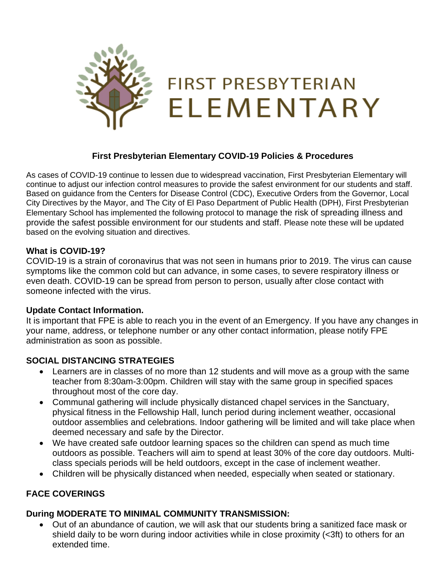

## **First Presbyterian Elementary COVID-19 Policies & Procedures**

As cases of COVID-19 continue to lessen due to widespread vaccination, First Presbyterian Elementary will continue to adjust our infection control measures to provide the safest environment for our students and staff. Based on guidance from the Centers for Disease Control (CDC), Executive Orders from the Governor, Local City Directives by the Mayor, and The City of El Paso Department of Public Health (DPH), First Presbyterian Elementary School has implemented the following protocol to manage the risk of spreading illness and provide the safest possible environment for our students and staff. Please note these will be updated based on the evolving situation and directives.

### **What is COVID-19?**

COVID-19 is a strain of coronavirus that was not seen in humans prior to 2019. The virus can cause symptoms like the common cold but can advance, in some cases, to severe respiratory illness or even death. COVID-19 can be spread from person to person, usually after close contact with someone infected with the virus.

### **Update Contact Information.**

It is important that FPE is able to reach you in the event of an Emergency. If you have any changes in your name, address, or telephone number or any other contact information, please notify FPE administration as soon as possible.

### **SOCIAL DISTANCING STRATEGIES**

- Learners are in classes of no more than 12 students and will move as a group with the same teacher from 8:30am-3:00pm. Children will stay with the same group in specified spaces throughout most of the core day.
- Communal gathering will include physically distanced chapel services in the Sanctuary, physical fitness in the Fellowship Hall, lunch period during inclement weather, occasional outdoor assemblies and celebrations. Indoor gathering will be limited and will take place when deemed necessary and safe by the Director.
- We have created safe outdoor learning spaces so the children can spend as much time outdoors as possible. Teachers will aim to spend at least 30% of the core day outdoors. Multiclass specials periods will be held outdoors, except in the case of inclement weather.
- Children will be physically distanced when needed, especially when seated or stationary.

### **FACE COVERINGS**

### **During MODERATE TO MINIMAL COMMUNITY TRANSMISSION:**

• Out of an abundance of caution, we will ask that our students bring a sanitized face mask or shield daily to be worn during indoor activities while in close proximity (<3ft) to others for an extended time.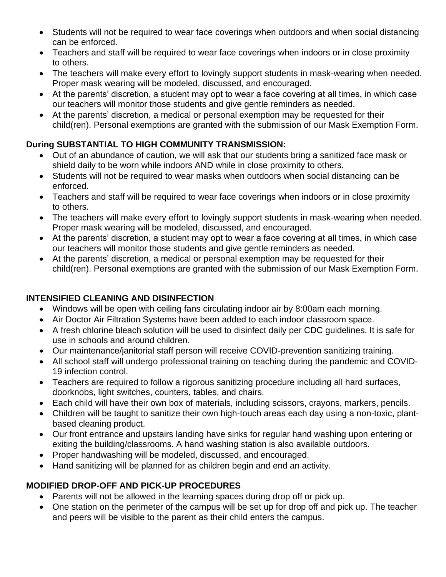- Students will not be required to wear face coverings when outdoors and when social distancing can be enforced.
- Teachers and staff will be required to wear face coverings when indoors or in close proximity to others.
- The teachers will make every effort to lovingly support students in mask-wearing when needed. Proper mask wearing will be modeled, discussed, and encouraged.
- At the parents' discretion, a student may opt to wear a face covering at all times, in which case our teachers will monitor those students and give gentle reminders as needed.
- At the parents' discretion, a medical or personal exemption may be requested for their child(ren). Personal exemptions are granted with the submission of our Mask Exemption Form.

# **During SUBSTANTIAL TO HIGH COMMUNITY TRANSMISSION:**

- Out of an abundance of caution, we will ask that our students bring a sanitized face mask or shield daily to be worn while indoors AND while in close proximity to others.
- Students will not be required to wear masks when outdoors when social distancing can be enforced.
- Teachers and staff will be required to wear face coverings when indoors or in close proximity to others.
- The teachers will make every effort to lovingly support students in mask-wearing when needed. Proper mask wearing will be modeled, discussed, and encouraged.
- At the parents' discretion, a student may opt to wear a face covering at all times, in which case our teachers will monitor those students and give gentle reminders as needed.
- At the parents' discretion, a medical or personal exemption may be requested for their child(ren). Personal exemptions are granted with the submission of our Mask Exemption Form.

# **INTENSIFIED CLEANING AND DISINFECTION**

- Windows will be open with ceiling fans circulating indoor air by 8:00am each morning.
- Air Doctor Air Filtration Systems have been added to each indoor classroom space.
- A fresh chlorine bleach solution will be used to disinfect daily per CDC guidelines. It is safe for use in schools and around children.
- Our maintenance/janitorial staff person will receive COVID-prevention sanitizing training.
- All school staff will undergo professional training on teaching during the pandemic and COVID-19 infection control.
- Teachers are required to follow a rigorous sanitizing procedure including all hard surfaces, doorknobs, light switches, counters, tables, and chairs.
- Each child will have their own box of materials, including scissors, crayons, markers, pencils.
- Children will be taught to sanitize their own high-touch areas each day using a non-toxic, plantbased cleaning product.
- Our front entrance and upstairs landing have sinks for regular hand washing upon entering or exiting the building/classrooms. A hand washing station is also available outdoors.
- Proper handwashing will be modeled, discussed, and encouraged.
- Hand sanitizing will be planned for as children begin and end an activity.

# **MODIFIED DROP-OFF AND PICK-UP PROCEDURES**

- Parents will not be allowed in the learning spaces during drop off or pick up.
- One station on the perimeter of the campus will be set up for drop off and pick up. The teacher and peers will be visible to the parent as their child enters the campus.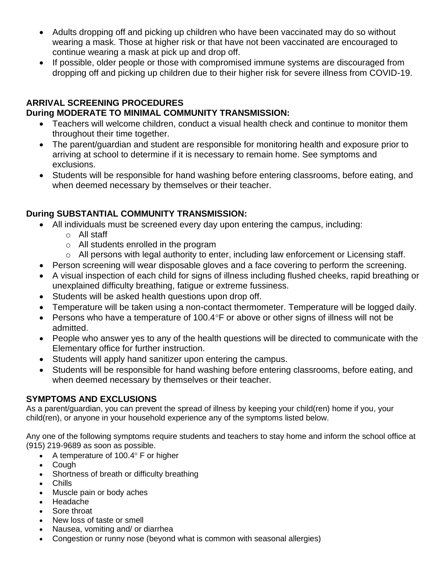- Adults dropping off and picking up children who have been vaccinated may do so without wearing a mask. Those at higher risk or that have not been vaccinated are encouraged to continue wearing a mask at pick up and drop off.
- If possible, older people or those with compromised immune systems are discouraged from dropping off and picking up children due to their higher risk for severe illness from COVID-19.

# **ARRIVAL SCREENING PROCEDURES**

## **During MODERATE TO MINIMAL COMMUNITY TRANSMISSION:**

- Teachers will welcome children, conduct a visual health check and continue to monitor them throughout their time together.
- The parent/guardian and student are responsible for monitoring health and exposure prior to arriving at school to determine if it is necessary to remain home. See symptoms and exclusions.
- Students will be responsible for hand washing before entering classrooms, before eating, and when deemed necessary by themselves or their teacher.

# **During SUBSTANTIAL COMMUNITY TRANSMISSION:**

- All individuals must be screened every day upon entering the campus, including:
	- o All staff
	- o All students enrolled in the program
	- o All persons with legal authority to enter, including law enforcement or Licensing staff.
- Person screening will wear disposable gloves and a face covering to perform the screening.
- A visual inspection of each child for signs of illness including flushed cheeks, rapid breathing or unexplained difficulty breathing, fatigue or extreme fussiness.
- Students will be asked health questions upon drop off.
- Temperature will be taken using a non-contact thermometer. Temperature will be logged daily.
- Persons who have a temperature of 100.4 $\degree$ F or above or other signs of illness will not be admitted.
- People who answer yes to any of the health questions will be directed to communicate with the Elementary office for further instruction.
- Students will apply hand sanitizer upon entering the campus.
- Students will be responsible for hand washing before entering classrooms, before eating, and when deemed necessary by themselves or their teacher.

## **SYMPTOMS AND EXCLUSIONS**

As a parent/guardian, you can prevent the spread of illness by keeping your child(ren) home if you, your child(ren), or anyone in your household experience any of the symptoms listed below.

Any one of the following symptoms require students and teachers to stay home and inform the school office at (915) 219-9689 as soon as possible.

- A temperature of  $100.4^\circ$  F or higher
- Cough
- Shortness of breath or difficulty breathing
- Chills
- Muscle pain or body aches
- Headache
- Sore throat
- New loss of taste or smell
- Nausea, vomiting and/ or diarrhea
- Congestion or runny nose (beyond what is common with seasonal allergies)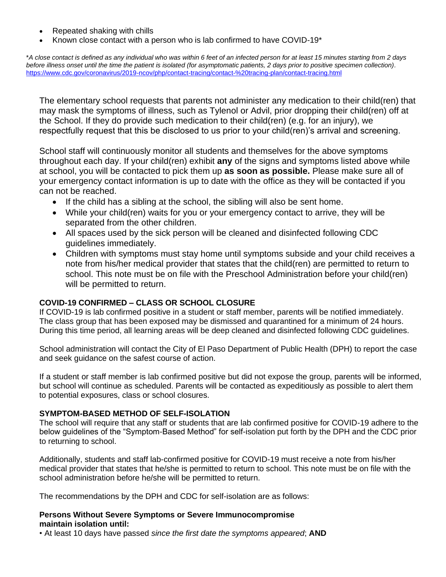- Repeated shaking with chills
- Known close contact with a person who is lab confirmed to have COVID-19\*

\**A close contact is defined as any individual who was within 6 feet of an infected person for at least 15 minutes starting from 2 days*  before illness onset until the time the patient is isolated (for asymptomatic patients, 2 days prior to positive specimen collection). <https://www.cdc.gov/coronavirus/2019-ncov/php/contact-tracing/contact-%20tracing-plan/contact-tracing.html>

The elementary school requests that parents not administer any medication to their child(ren) that may mask the symptoms of illness, such as Tylenol or Advil, prior dropping their child(ren) off at the School. If they do provide such medication to their child(ren) (e.g. for an injury), we respectfully request that this be disclosed to us prior to your child(ren)'s arrival and screening.

School staff will continuously monitor all students and themselves for the above symptoms throughout each day. If your child(ren) exhibit **any** of the signs and symptoms listed above while at school, you will be contacted to pick them up **as soon as possible.** Please make sure all of your emergency contact information is up to date with the office as they will be contacted if you can not be reached.

- If the child has a sibling at the school, the sibling will also be sent home.
- While your child(ren) waits for you or your emergency contact to arrive, they will be separated from the other children.
- All spaces used by the sick person will be cleaned and disinfected following CDC guidelines immediately.
- Children with symptoms must stay home until symptoms subside and your child receives a note from his/her medical provider that states that the child(ren) are permitted to return to school. This note must be on file with the Preschool Administration before your child(ren) will be permitted to return.

#### **COVID-19 CONFIRMED – CLASS OR SCHOOL CLOSURE**

If COVID-19 is lab confirmed positive in a student or staff member, parents will be notified immediately. The class group that has been exposed may be dismissed and quarantined for a minimum of 24 hours. During this time period, all learning areas will be deep cleaned and disinfected following CDC guidelines.

School administration will contact the City of El Paso Department of Public Health (DPH) to report the case and seek guidance on the safest course of action.

If a student or staff member is lab confirmed positive but did not expose the group, parents will be informed, but school will continue as scheduled. Parents will be contacted as expeditiously as possible to alert them to potential exposures, class or school closures.

#### **SYMPTOM-BASED METHOD OF SELF-ISOLATION**

The school will require that any staff or students that are lab confirmed positive for COVID-19 adhere to the below guidelines of the "Symptom-Based Method" for self-isolation put forth by the DPH and the CDC prior to returning to school.

Additionally, students and staff lab-confirmed positive for COVID-19 must receive a note from his/her medical provider that states that he/she is permitted to return to school. This note must be on file with the school administration before he/she will be permitted to return.

The recommendations by the DPH and CDC for self-isolation are as follows:

#### **Persons Without Severe Symptoms or Severe Immunocompromise maintain isolation until:**

• At least 10 days have passed *since the first date the symptoms appeared*; **AND**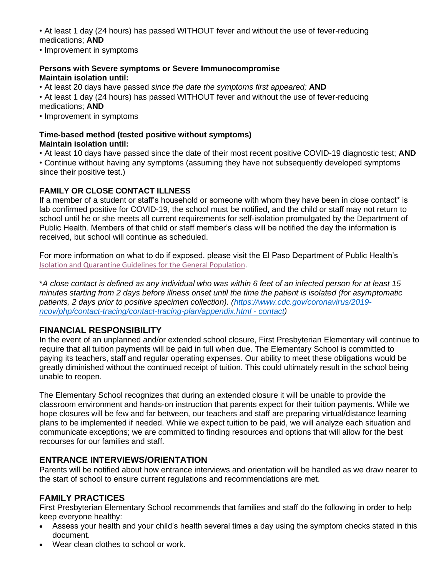• At least 1 day (24 hours) has passed WITHOUT fever and without the use of fever-reducing medications; **AND**

• Improvement in symptoms

### **Persons with Severe symptoms or Severe Immunocompromise Maintain isolation until:**

• At least 20 days have passed *since the date the symptoms first appeared;* **AND**

• At least 1 day (24 hours) has passed WITHOUT fever and without the use of fever-reducing medications; **AND**

• Improvement in symptoms

# **Time-based method (tested positive without symptoms)**

**Maintain isolation until:**

• At least 10 days have passed since the date of their most recent positive COVID-19 diagnostic test; **AND**

• Continue without having any symptoms (assuming they have not subsequently developed symptoms since their positive test.)

## **FAMILY OR CLOSE CONTACT ILLNESS**

If a member of a student or staff's household or someone with whom they have been in close contact\* is lab confirmed positive for COVID-19, the school must be notified, and the child or staff may not return to school until he or she meets all current requirements for self-isolation promulgated by the Department of Public Health. Members of that child or staff member's class will be notified the day the information is received, but school will continue as scheduled.

For more information on what to do if exposed, please visit the El Paso Department of Public Health's [Isolation and Quarantine Guidelines for the General Population.](https://www.epstrong.org/documents/covid19/businesses/isolation-quarantine-individuals.pdf?1643051001)

\**A close contact is defined as any individual who was within 6 feet of an infected person for at least 15 minutes starting from 2 days before illness onset until the time the patient is isolated (for asymptomatic patients, 2 days prior to positive specimen collection). [\(https://www.cdc.gov/coronavirus/2019](https://www.cdc.gov/coronavirus/2019-ncov/php/contact-tracing/contact-tracing-plan/appendix.html#contact) [ncov/php/contact-tracing/contact-tracing-plan/appendix.html -](https://www.cdc.gov/coronavirus/2019-ncov/php/contact-tracing/contact-tracing-plan/appendix.html#contact) contact)*

# **FINANCIAL RESPONSIBILITY**

In the event of an unplanned and/or extended school closure, First Presbyterian Elementary will continue to require that all tuition payments will be paid in full when due. The Elementary School is committed to paying its teachers, staff and regular operating expenses. Our ability to meet these obligations would be greatly diminished without the continued receipt of tuition. This could ultimately result in the school being unable to reopen.

The Elementary School recognizes that during an extended closure it will be unable to provide the classroom environment and hands-on instruction that parents expect for their tuition payments. While we hope closures will be few and far between, our teachers and staff are preparing virtual/distance learning plans to be implemented if needed. While we expect tuition to be paid, we will analyze each situation and communicate exceptions; we are committed to finding resources and options that will allow for the best recourses for our families and staff.

# **ENTRANCE INTERVIEWS/ORIENTATION**

Parents will be notified about how entrance interviews and orientation will be handled as we draw nearer to the start of school to ensure current regulations and recommendations are met.

## **FAMILY PRACTICES**

First Presbyterian Elementary School recommends that families and staff do the following in order to help keep everyone healthy:

- Assess your health and your child's health several times a day using the symptom checks stated in this document.
- Wear clean clothes to school or work.